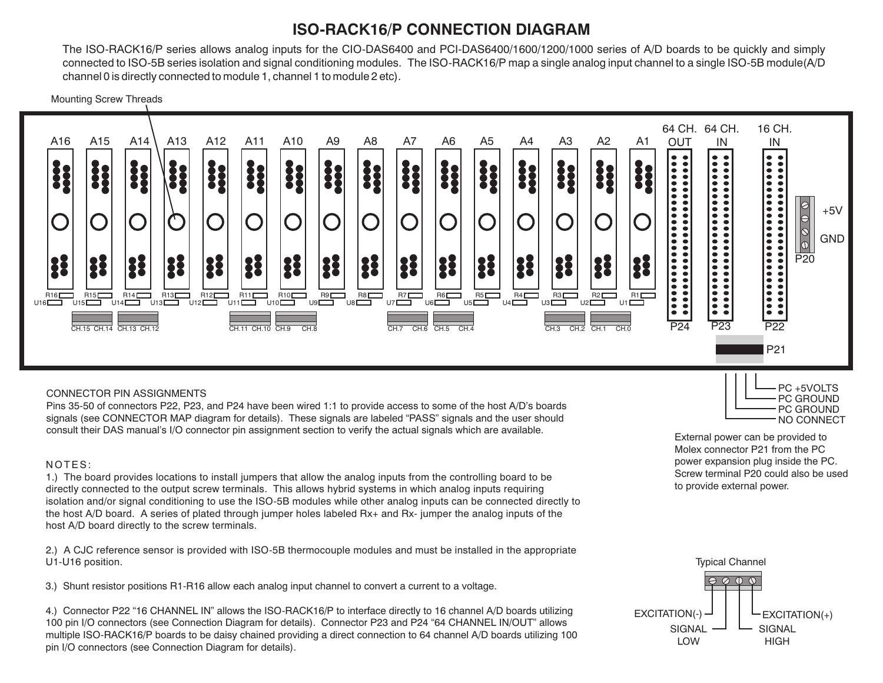## **ISO-RACK16/P CONNECTION DIAGRAM**

The ISO-RACK16/P series allows analog inputs for the CIO-DAS6400 and PCI-DAS6400/1600/1200/1000 series of A/D boards to be quickly and simply connected to ISO-5B series isolation and signal conditioning modules. The ISO-RACK16/P map a single analog input channel to a single ISO-5B module(A/D channel 0 is directly connected to module 1, channel 1 to module 2 etc).

Mounting Screw Threads



#### CONNECTOR PIN ASSIGNMENTS

Pins 35-50 of connectors P22, P23, and P24 have been wired 1:1 to provide access to some of the host A/D's boards signals (see CONNECTOR MAP diagram for details). These signals are labeled "PASS" signals and the user should consult their DAS manual's I/O connector pin assignment section to verify the actual signals which are available.

#### NOTES:

1.) The board provides locations to install jumpers that allow the analog inputs from the controlling board to be directly connected to the output screw terminals. This allows hybrid systems in which analog inputs requiring isolation and/or signal conditioning to use the ISO-5B modules while other analog inputs can be connected directly to the host A/D board. A series of plated through jumper holes labeled Rx+ and Rx- jumper the analog inputs of the host A/D board directly to the screw terminals.

2.) A CJC reference sensor is provided with ISO-5B thermocouple modules and must be installed in the appropriate U1-U16 position.

3.) Shunt resistor positions R1-R16 allow each analog input channel to convert a current to a voltage.

4.) Connector P22 "16 CHANNEL IN" allows the ISO-RACK16/P to interface directly to 16 channel A/D boards utilizing 100 pin I/O connectors (see Connection Diagram for details). Connector P23 and P24 "64 CHANNEL IN/OUT" allows multiple ISO-RACK16/P boards to be daisy chained providing a direct connection to 64 channel A/D boards utilizing 100 pin I/O connectors (see Connection Diagram for details).



External power can be provided to Molex connector P21 from the PC power expansion plug inside the PC. Screw terminal P20 could also be used to provide external power.

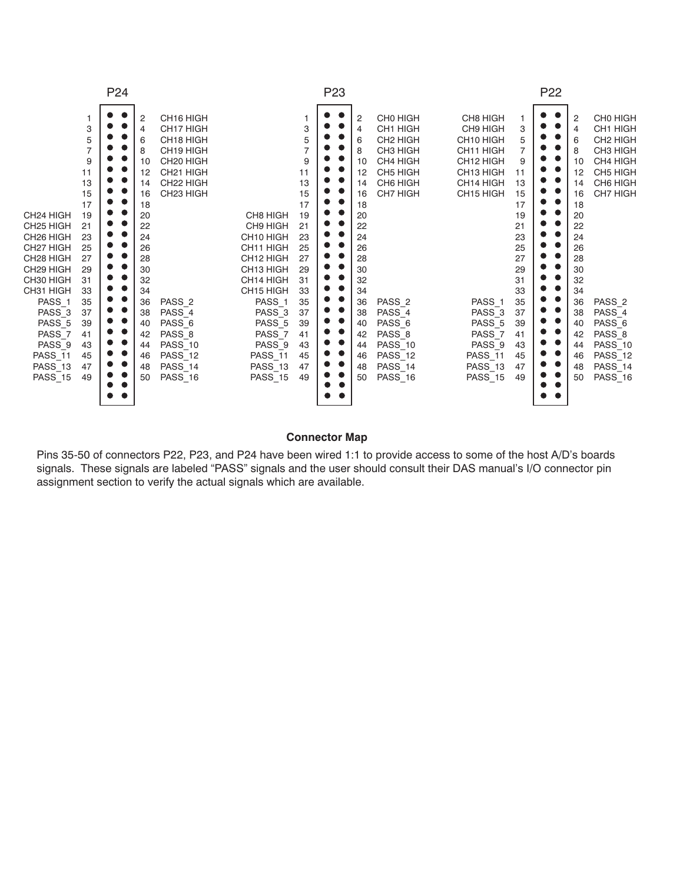| P <sub>24</sub>                                                                                                                                                                                                                                                                                                                                                                                                                                      |                                                                                                                                                | P <sub>23</sub>                                                                                                                                                                                                                                                                                                                                                                                                                                                                                                                                                         |                                                                                                                                |  |                                                                                                                                                |                                                                                                                                                                                                                                  | P <sub>22</sub>                                                                                                                                                                                                                                                                                       |                                                                                                                                     |  |                                                                                                                                                |                                                                                                                                                                                                                                                |
|------------------------------------------------------------------------------------------------------------------------------------------------------------------------------------------------------------------------------------------------------------------------------------------------------------------------------------------------------------------------------------------------------------------------------------------------------|------------------------------------------------------------------------------------------------------------------------------------------------|-------------------------------------------------------------------------------------------------------------------------------------------------------------------------------------------------------------------------------------------------------------------------------------------------------------------------------------------------------------------------------------------------------------------------------------------------------------------------------------------------------------------------------------------------------------------------|--------------------------------------------------------------------------------------------------------------------------------|--|------------------------------------------------------------------------------------------------------------------------------------------------|----------------------------------------------------------------------------------------------------------------------------------------------------------------------------------------------------------------------------------|-------------------------------------------------------------------------------------------------------------------------------------------------------------------------------------------------------------------------------------------------------------------------------------------------------|-------------------------------------------------------------------------------------------------------------------------------------|--|------------------------------------------------------------------------------------------------------------------------------------------------|------------------------------------------------------------------------------------------------------------------------------------------------------------------------------------------------------------------------------------------------|
| 3<br>5<br>$\overline{7}$<br>9<br>11<br>13<br>15<br>17<br>CH <sub>24</sub> HIGH<br>19<br>CH <sub>25</sub> HIGH<br>21<br>CH <sub>26</sub> HIGH<br>23<br>25<br>CH <sub>27</sub> HIGH<br>CH <sub>28</sub> HIGH<br>27<br>CH29 HIGH<br>29<br>CH30 HIGH<br>31<br>CH31 HIGH<br>33<br>35<br>PASS <sub>1</sub><br>PASS_3<br>37<br>PASS <sub>5</sub><br>39<br>PASS_7<br>41<br>PASS <sub>9</sub><br>43<br><b>PASS_11</b><br>45<br>PASS 13<br>47<br>PASS_15<br>49 | 2<br>4<br>6<br>8<br>10<br>12<br>14<br>16<br>18<br>20<br>22<br>24<br>26<br>28<br>30<br>32<br>34<br>36<br>38<br>40<br>42<br>44<br>46<br>48<br>50 | CH16 HIGH<br>CH17 HIGH<br>CH <sub>18</sub> HIGH<br>CH19 HIGH<br>CH <sub>20</sub> HIGH<br>CH <sub>21</sub> HIGH<br>CH22 HIGH<br>CH <sub>23</sub> HIGH<br>CH8 HIGH<br>CH9 HIGH<br>CH <sub>10</sub> HIGH<br>CH11 HIGH<br>CH <sub>12</sub> HIGH<br>CH <sub>13</sub> HIGH<br>CH14 HIGH<br>CH15 HIGH<br>PASS <sub>2</sub><br>PASS <sub>1</sub><br>PASS 4<br>PASS <sub>3</sub><br>PASS <sub>6</sub><br>PASS <sub>5</sub><br>PASS 8<br>PASS <sub>7</sub><br>PASS 10<br>PASS <sub>9</sub><br><b>PASS_11</b><br><b>PASS_12</b><br>PASS 14<br>PASS 13<br>PASS_16<br><b>PASS_15</b> | 3<br>9<br>11<br>13<br>15<br>17<br>19<br>21<br>23<br>25<br>27<br>29<br>31<br>33<br>35<br>37<br>39<br>41<br>43<br>45<br>47<br>49 |  | 2<br>4<br>6<br>8<br>10<br>12<br>14<br>16<br>18<br>20<br>22<br>24<br>26<br>28<br>30<br>32<br>34<br>36<br>38<br>40<br>42<br>44<br>46<br>48<br>50 | CH0 HIGH<br>CH1 HIGH<br>CH <sub>2</sub> HIGH<br>CH3 HIGH<br>CH4 HIGH<br>CH5 HIGH<br>CH6 HIGH<br>CH7 HIGH<br>PASS <sub>2</sub><br>PASS_4<br>PASS <sub>6</sub><br>PASS 8<br><b>PASS_10</b><br><b>PASS_12</b><br>PASS 14<br>PASS 16 | CH8 HIGH<br>CH9 HIGH<br>CH <sub>10</sub> HIGH<br>CH <sub>11</sub> HIGH<br>CH12 HIGH<br>CH13 HIGH<br>CH14 HIGH<br>CH <sub>15</sub> HIGH<br>PASS <sub>1</sub><br>PASS <sub>3</sub><br>PASS <sub>5</sub><br>PASS <sub>7</sub><br>PASS <sub>9</sub><br><b>PASS_11</b><br><b>PASS_13</b><br><b>PASS_15</b> | 3<br>5<br>9<br>11<br>13<br>15<br>17<br>19<br>21<br>23<br>25<br>27<br>29<br>31<br>33<br>35<br>37<br>39<br>41<br>43<br>45<br>47<br>49 |  | 2<br>4<br>6<br>8<br>10<br>12<br>14<br>16<br>18<br>20<br>22<br>24<br>26<br>28<br>30<br>32<br>34<br>36<br>38<br>40<br>42<br>44<br>46<br>48<br>50 | CHO HIGH<br>CH1 HIGH<br>CH <sub>2</sub> HIGH<br>CH3 HIGH<br>CH4 HIGH<br>CH5 HIGH<br>CH6 HIGH<br><b>CH7 HIGH</b><br>PASS <sub>2</sub><br>PASS_4<br>PASS <sub>6</sub><br>PASS_8<br><b>PASS_10</b><br><b>PASS_12</b><br>PASS 14<br><b>PASS_16</b> |

### **Connector Map**

Pins 35-50 of connectors P22, P23, and P24 have been wired 1:1 to provide access to some of the host A/D's boards signals. These signals are labeled "PASS" signals and the user should consult their DAS manual's I/O connector pin assignment section to verify the actual signals which are available.